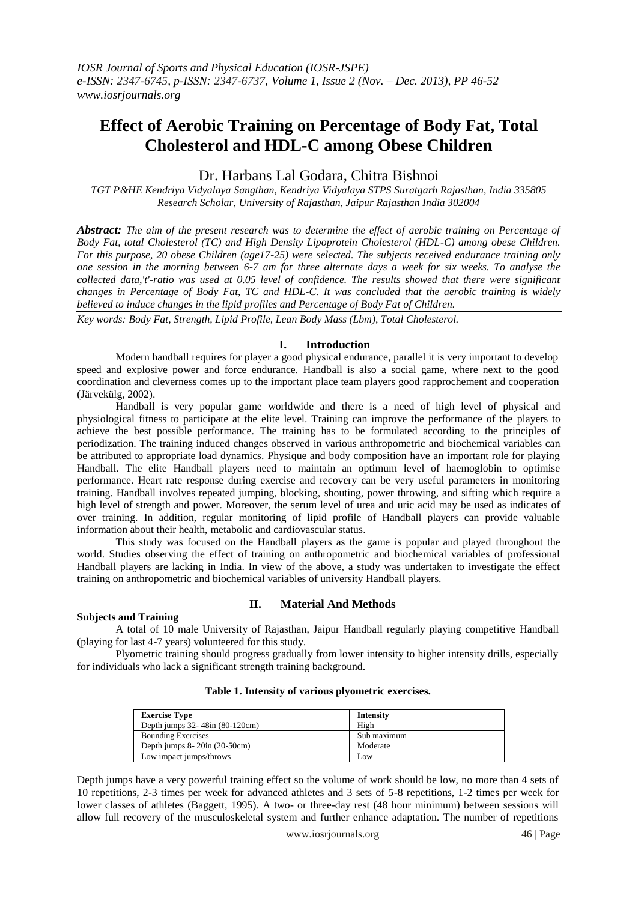# **Effect of Aerobic Training on Percentage of Body Fat, Total Cholesterol and HDL-C among Obese Children**

# Dr. Harbans Lal Godara, Chitra Bishnoi

*TGT P&HE Kendriya Vidyalaya Sangthan, Kendriya Vidyalaya STPS Suratgarh Rajasthan, India 335805 Research Scholar, University of Rajasthan, Jaipur Rajasthan India 302004*

*Abstract: The aim of the present research was to determine the effect of aerobic training on Percentage of Body Fat, total Cholesterol (TC) and High Density Lipoprotein Cholesterol (HDL-C) among obese Children. For this purpose, 20 obese Children (age17-25) were selected. The subjects received endurance training only one session in the morning between 6-7 am for three alternate days a week for six weeks. To analyse the collected data,'t'-ratio was used at 0.05 level of confidence. The results showed that there were significant changes in Percentage of Body Fat, TC and HDL-C. It was concluded that the aerobic training is widely believed to induce changes in the lipid profiles and Percentage of Body Fat of Children.*

*Key words: Body Fat, Strength, Lipid Profile, Lean Body Mass (Lbm), Total Cholesterol.*

#### **I. Introduction**

Modern handball requires for player a good physical endurance, parallel it is very important to develop speed and explosive power and force endurance. Handball is also a social game, where next to the good coordination and cleverness comes up to the important place team players good rapprochement and cooperation (Järvekülg, 2002).

Handball is very popular game worldwide and there is a need of high level of physical and physiological fitness to participate at the elite level. Training can improve the performance of the players to achieve the best possible performance. The training has to be formulated according to the principles of periodization. The training induced changes observed in various anthropometric and biochemical variables can be attributed to appropriate load dynamics. Physique and body composition have an important role for playing Handball. The elite Handball players need to maintain an optimum level of haemoglobin to optimise performance. Heart rate response during exercise and recovery can be very useful parameters in monitoring training. Handball involves repeated jumping, blocking, shouting, power throwing, and sifting which require a high level of strength and power. Moreover, the serum level of urea and uric acid may be used as indicates of over training. In addition, regular monitoring of lipid profile of Handball players can provide valuable information about their health, metabolic and cardiovascular status.

This study was focused on the Handball players as the game is popular and played throughout the world. Studies observing the effect of training on anthropometric and biochemical variables of professional Handball players are lacking in India. In view of the above, a study was undertaken to investigate the effect training on anthropometric and biochemical variables of university Handball players.

#### **Subjects and Training**

## **II. Material And Methods**

A total of 10 male University of Rajasthan, Jaipur Handball regularly playing competitive Handball (playing for last 4-7 years) volunteered for this study.

Plyometric training should progress gradually from lower intensity to higher intensity drills, especially for individuals who lack a significant strength training background.

| <b>Exercise Type</b>                  | Intensity   |
|---------------------------------------|-------------|
| Depth jumps 32-48in (80-120cm)        | High        |
| <b>Bounding Exercises</b>             | Sub maximum |
| Depth jumps $8-20$ in $(20-50$ cm $)$ | Moderate    |
| Low impact jumps/throws               | Low         |

#### **Table 1. Intensity of various plyometric exercises.**

Depth jumps have a very powerful training effect so the volume of work should be low, no more than 4 sets of 10 repetitions, 2-3 times per week for advanced athletes and 3 sets of 5-8 repetitions, 1-2 times per week for lower classes of athletes (Baggett, 1995). A two- or three-day rest (48 hour minimum) between sessions will allow full recovery of the musculoskeletal system and further enhance adaptation. The number of repetitions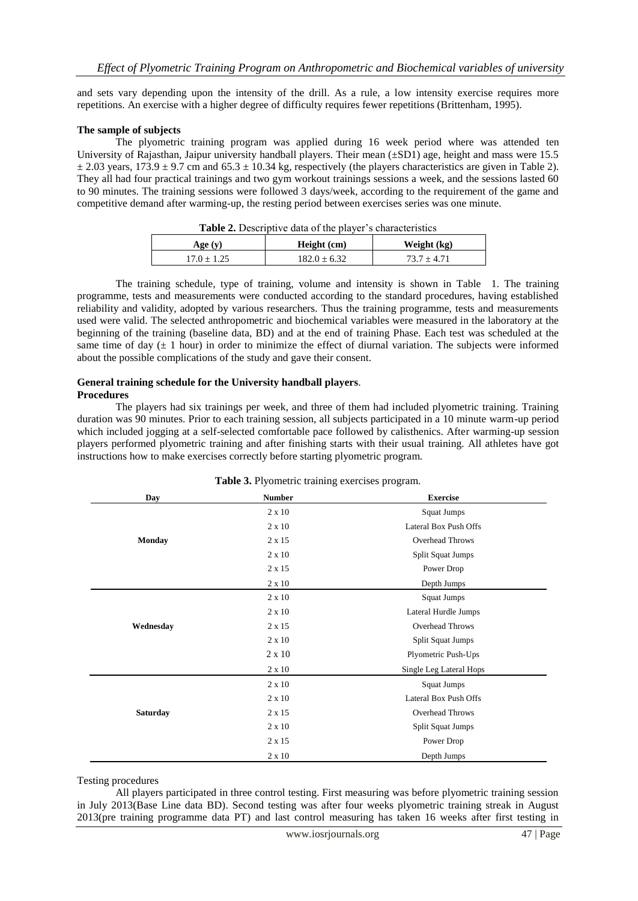and sets vary depending upon the intensity of the drill. As a rule, a low intensity exercise requires more repetitions. An exercise with a higher degree of difficulty requires fewer repetitions (Brittenham, 1995).

#### **The sample of subjects**

The plyometric training program was applied during 16 week period where was attended ten University of Rajasthan, Jaipur university handball players. Their mean ( $\pm$ SD1) age, height and mass were 15.5  $\pm$  2.03 years, 173.9  $\pm$  9.7 cm and 65.3  $\pm$  10.34 kg, respectively (the players characteristics are given in Table 2). They all had four practical trainings and two gym workout trainings sessions a week, and the sessions lasted 60 to 90 minutes. The training sessions were followed 3 days/week, according to the requirement of the game and competitive demand after warming-up, the resting period between exercises series was one minute.

| <b>Table 2.</b> Descriptive data of the player s characteristics |                  |               |  |
|------------------------------------------------------------------|------------------|---------------|--|
| Age (y)                                                          | Height (cm)      | Weight (kg)   |  |
| $17.0 + 1.25$                                                    | $182.0 \pm 6.32$ | $73.7 + 4.71$ |  |

<span id="page-1-0"></span>

| <b>Table 2.</b> Descriptive data of the player's characteristics |  |
|------------------------------------------------------------------|--|
|------------------------------------------------------------------|--|

The training schedule, type of training, volume and intensity is shown in Table [1](#page-1-0). The training programme, tests and measurements were conducted according to the standard procedures, having established reliability and validity, adopted by various researchers. Thus the training programme, tests and measurements used were valid. The selected anthropometric and biochemical variables were measured in the laboratory at the beginning of the training (baseline data, BD) and at the end of training Phase. Each test was scheduled at the same time of day  $(\pm 1$  hour) in order to minimize the effect of diurnal variation. The subjects were informed about the possible complications of the study and gave their consent.

#### **General training schedule for the University handball players**. **Procedures**

The players had six trainings per week, and three of them had included plyometric training. Training duration was 90 minutes. Prior to each training session, all subjects participated in a 10 minute warm-up period which included jogging at a self-selected comfortable pace followed by calisthenics. After warming-up session players performed plyometric training and after finishing starts with their usual training. All athletes have got instructions how to make exercises correctly before starting plyometric program.

| Day             | <b>Number</b> | <b>Exercise</b>         |  |
|-----------------|---------------|-------------------------|--|
|                 | $2 \times 10$ | Squat Jumps             |  |
|                 | $2 \times 10$ | Lateral Box Push Offs   |  |
| <b>Monday</b>   | 2 x 15        | <b>Overhead Throws</b>  |  |
|                 | $2 \times 10$ | Split Squat Jumps       |  |
|                 | 2 x 15        | Power Drop              |  |
|                 | 2 x 10        | Depth Jumps             |  |
|                 | $2 \times 10$ | Squat Jumps             |  |
|                 | $2 \times 10$ | Lateral Hurdle Jumps    |  |
| Wednesday       | 2 x 15        | <b>Overhead Throws</b>  |  |
|                 | $2 \times 10$ | Split Squat Jumps       |  |
|                 | $2 \times 10$ | Plyometric Push-Ups     |  |
|                 | 2 x 10        | Single Leg Lateral Hops |  |
|                 | $2 \times 10$ | Squat Jumps             |  |
|                 | $2 \times 10$ | Lateral Box Push Offs   |  |
| <b>Saturday</b> | 2 x 15        | <b>Overhead Throws</b>  |  |
|                 | $2 \times 10$ | Split Squat Jumps       |  |
|                 | 2 x 15        | Power Drop              |  |
|                 | $2 \times 10$ | Depth Jumps             |  |

#### **Table 3.** Plyometric training exercises program.

#### Testing procedures

All players participated in three control testing. First measuring was before plyometric training session in July 2013(Base Line data BD). Second testing was after four weeks plyometric training streak in August 2013(pre training programme data PT) and last control measuring has taken 16 weeks after first testing in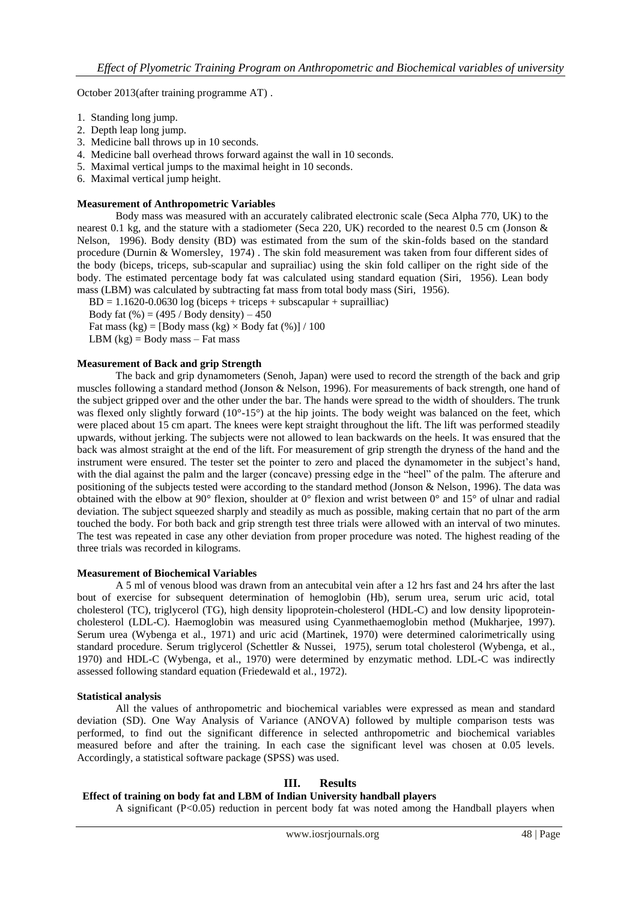October 2013(after training programme AT) .

- 1. Standing long jump.
- 2. Depth leap long jump.
- 3. Medicine ball throws up in 10 seconds.
- 4. Medicine ball overhead throws forward against the wall in 10 seconds.
- 5. Maximal vertical jumps to the maximal height in 10 seconds.
- 6. Maximal vertical jump height.

#### **Measurement of Anthropometric Variables**

Body mass was measured with an accurately calibrated electronic scale (Seca Alpha 770, UK) to the nearest 0.1 kg, and the stature with a stadiometer (Seca 220, UK) recorded to the nearest 0.5 cm (Jonson & Nelson, 1996). Body density (BD) was estimated from the sum of the skin-folds based on the standard procedure (Durnin & Womersley, 1974) . The skin fold measurement was taken from four different sides of the body (biceps, triceps, sub-scapular and suprailiac) using the skin fold calliper on the right side of the body. The estimated percentage body fat was calculated using standard equation (Siri, 1956). Lean body mass (LBM) was calculated by subtracting fat mass from total body mass (Siri, 1956).

 $BD = 1.1620 - 0.0630 \log (biceps + triceps + subscapular + supraid.$ 

Body fat  $(\% ) = (495 /$  Body density)  $- 450$ 

Fat mass  $(kg) = [Body mass (kg) \times Body fat (%)] / 100$ 

LBM  $(kg)$  = Body mass – Fat mass

#### **Measurement of Back and grip Strength**

<span id="page-2-0"></span>The back and grip dynamometers (Senoh, Japan) were used to record the strength of the back and grip muscles following a standard method (Jonson & Nelson, 1996). For measurements of back strength, one hand of the subject gripped over and the other under the bar. The hands were spread to the width of shoulders. The trunk was flexed only slightly forward (10°-15°) at the hip joints. The body weight was balanced on the feet, which were placed about 15 cm apart. The knees were kept straight throughout the lift. The lift was performed steadily upwards, without jerking. The subjects were not allowed to lean backwards on the heels. It was ensured that the back was almost straight at the end of the lift. For measurement of grip strength the dryness of the hand and the instrument were ensured. The tester set the pointer to zero and placed the dynamometer in the subject's hand, with the dial against the palm and the larger (concave) pressing edge in the "heel" of the palm. The afterure and positioning of the subjects tested were according to the standard method (Jonson & Nelson, 1996). The data was obtained with the elbow at 90° flexion, shoulder at 0° flexion and wrist between 0° and 15° of ulnar and radial deviation. The subject squeezed sharply and steadily as much as possible, making certain that no part of the arm touched the body. For both back and grip strength test three trials were allowed with an interval of two minutes. The test was repeated in case any other deviation from proper procedure was noted. The highest reading of the three trials was recorded in kilograms.

#### **Measurement of Biochemical Variables**

A 5 ml of venous blood was drawn from an antecubital vein after a 12 hrs fast and 24 hrs after the last bout of exercise for subsequent determination of hemoglobin (Hb), serum urea, serum uric acid, total cholesterol (TC), triglycerol (TG), high density lipoprotein-cholesterol (HDL-C) and low density lipoproteincholesterol (LDL-C). Haemoglobin was measured using Cyanmethaemoglobin method (Mukharjee, 1997). Serum urea (Wybenga et al., 1971) and uric acid (Martinek, 1970) were determined calorimetrically using standard procedure. Serum triglycerol (Schettler & Nussei, 1975), serum total cholesterol (Wybenga, et al., 1970) and HDL-C (Wybenga, et al., 1970) were determined by enzymatic method. LDL-C was indirectly assessed following standard equation (Friedewald et al., 1972).

#### **Statistical analysis**

All the values of anthropometric and biochemical variables were expressed as mean and standard deviation (SD). One Way Analysis of Variance (ANOVA) followed by multiple comparison tests was performed, to find out the significant difference in selected anthropometric and biochemical variables measured before and after the training. In each case the significant level was chosen at 0.05 levels. Accordingly, a statistical software package (SPSS) was used.

## **III. Results**

#### **Effect of training on body fat and LBM of Indian University handball players**

A significant (P<0.05) reduction in percent body fat was noted among the Handball players when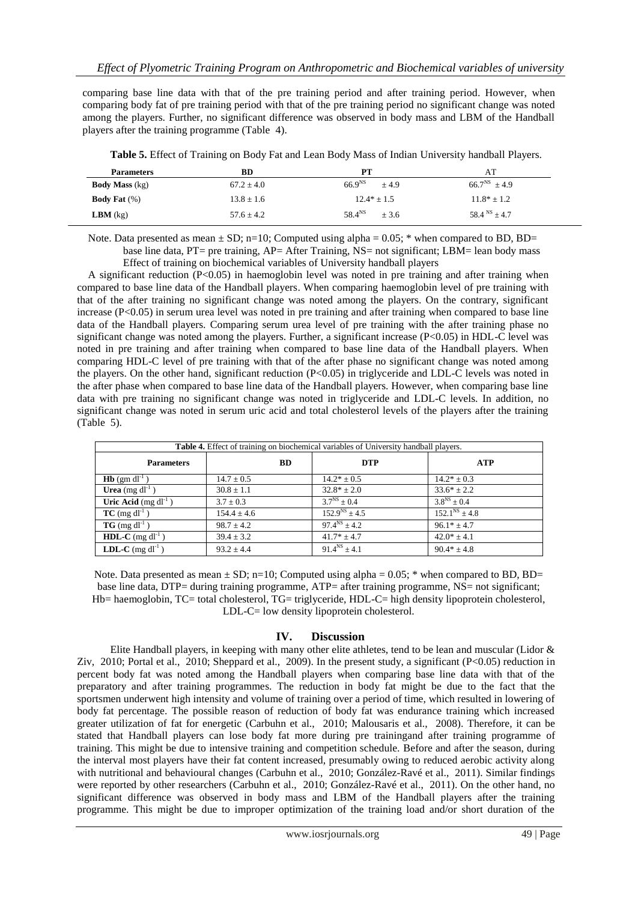comparing base line data with that of the pre training period and after training period. However, when comparing body fat of pre training period with that of the pre training period no significant change was noted among the players. Further, no significant difference was observed in body mass and LBM of the Handball players after the training programme (Tabl[e 4](#page-2-0)).

| <b>Parameters</b>      | BD             | PТ                    | AT                |
|------------------------|----------------|-----------------------|-------------------|
| <b>Body Mass</b> (kg)  | $67.2 + 4.0$   | $66.9^{NS}$<br>$+4.9$ | $66.7^{NS}$ + 4.9 |
| <b>Body Fat</b> $(\%)$ | $13.8 \pm 1.6$ | $12.4* \pm 1.5$       | $11.8* \pm 1.2$   |
| <b>LBM</b> $(kg)$      | $57.6 + 4.2$   | $58.4^{NS}$<br>$+3.6$ | $58.4^{NS} + 4.7$ |

**Table 5.** Effect of Training on Body Fat and Lean Body Mass of Indian University handball Players.

Note. Data presented as mean  $\pm$  SD; n=10; Computed using alpha = 0.05; \* when compared to BD, BD= base line data, PT= pre training, AP= After Training, NS= not significant; LBM= lean body mass

Effect of training on biochemical variables of University handball players

A significant reduction (P<0.05) in haemoglobin level was noted in pre training and after training when compared to base line data of the Handball players. When comparing haemoglobin level of pre training with that of the after training no significant change was noted among the players. On the contrary, significant increase (P<0.05) in serum urea level was noted in pre training and after training when compared to base line data of the Handball players. Comparing serum urea level of pre training with the after training phase no significant change was noted among the players. Further, a significant increase (P<0.05) in HDL-C level was noted in pre training and after training when compared to base line data of the Handball players. When comparing HDL-C level of pre training with that of the after phase no significant change was noted among the players. On the other hand, significant reduction (P<0.05) in triglyceride and LDL-C levels was noted in the after phase when compared to base line data of the Handball players. However, when comparing base line data with pre training no significant change was noted in triglyceride and LDL-C levels. In addition, no significant change was noted in serum uric acid and total cholesterol levels of the players after the training (Tabl[e 5](#page-3-0)).

<span id="page-3-0"></span>

| Table 4. Effect of training on biochemical variables of University handball players. |                 |                     |                      |
|--------------------------------------------------------------------------------------|-----------------|---------------------|----------------------|
| <b>Parameters</b>                                                                    | <b>BD</b>       | <b>DTP</b>          | <b>ATP</b>           |
| $Hb$ (gm dl <sup>-1</sup> )                                                          | $14.7 \pm 0.5$  | $14.2* \pm 0.5$     | $14.2* \pm 0.3$      |
| <b>Urea</b> (mg $dl^{-1}$ )                                                          | $30.8 \pm 1.1$  | $32.8* \pm 2.0$     | $33.6* \pm 2.2$      |
| Uric Acid $(mg \, dl^{-1})$                                                          | $3.7 \pm 0.3$   | $3.7^{NS} \pm 0.4$  | $3.8^{NS} \pm 0.4$   |
| $TC$ (mg dl <sup>-1</sup> )                                                          | $154.4 \pm 4.6$ | $152.9^{NS} + 4.5$  | $152.1^{NS} \pm 4.8$ |
| $TG \text{ (mg d}l^{-1})$                                                            | $98.7 \pm 4.2$  | $97.4^{NS} + 4.2$   | $96.1* \pm 4.7$      |
| <b>HDL-C</b> (mg $dl^{-1}$ )                                                         | $39.4 \pm 3.2$  | $41.7* \pm 4.7$     | $42.0* \pm 4.1$      |
| <b>LDL-C</b> (mg $dl^{-1}$ )                                                         | $93.2 \pm 4.4$  | $91.4^{NS} \pm 4.1$ | $90.4* \pm 4.8$      |

Note. Data presented as mean  $\pm$  SD; n=10; Computed using alpha = 0.05; \* when compared to BD, BD= base line data, DTP= during training programme, ATP= after training programme, NS= not significant; Hb= haemoglobin, TC= total cholesterol, TG= triglyceride, HDL-C= high density lipoprotein cholesterol, LDL-C= low density lipoprotein cholesterol.

## **IV. Discussion**

Elite Handball players, in keeping with many other elite athletes, tend to be lean and muscular (Lidor & Ziv, 2010; Portal et al., 2010; Sheppard et al., 2009). In the present study, a significant (P<0.05) reduction in percent body fat was noted among the Handball players when comparing base line data with that of the preparatory and after training programmes. The reduction in body fat might be due to the fact that the sportsmen underwent high intensity and volume of training over a period of time, which resulted in lowering of body fat percentage. The possible reason of reduction of body fat was endurance training which increased greater utilization of fat for energetic (Carbuhn et al., [2010](#page-5-0); Malousaris et al., 2008). Therefore, it can be stated that Handball players can lose body fat more during pre trainingand after training programme of training. This might be due to intensive training and competition schedule. Before and after the season, during the interval most players have their fat content increased, presumably owing to reduced aerobic activity along with nutritional and behavioural changes (Carbuhn et al., [2010](#page-5-0); González-Ravé et al., [2011](#page-5-0)). Similar findings were reported by other researchers (Carbuhn et al., [2010](#page-5-0); González-Ravé et al., [2011](#page-5-0)). On the other hand, no significant difference was observed in body mass and LBM of the Handball players after the training programme. This might be due to improper optimization of the training load and/or short duration of the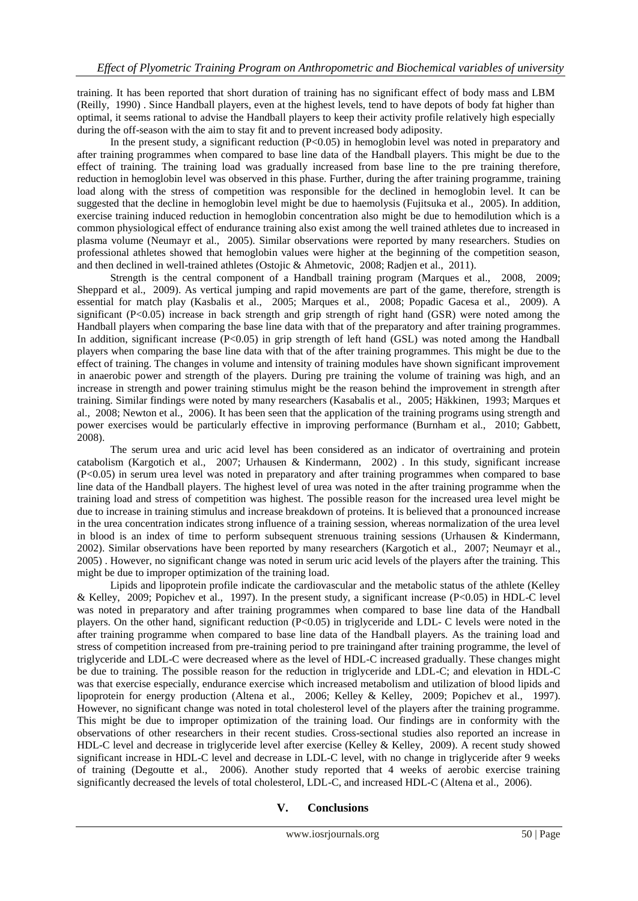training. It has been reported that short duration of training has no significant effect of body mass and LBM (Reilly, 1990) . Since Handball players, even at the highest levels, tend to have depots of body fat higher than optimal, it seems rational to advise the Handball players to keep their activity profile relatively high especially during the off-season with the aim to stay fit and to prevent increased body adiposity.

In the present study, a significant reduction (P<0.05) in hemoglobin level was noted in preparatory and after training programmes when compared to base line data of the Handball players. This might be due to the effect of training. The training load was gradually increased from base line to the pre training therefore, reduction in hemoglobin level was observed in this phase. Further, during the after training programme, training load along with the stress of competition was responsible for the declined in hemoglobin level. It can be suggested that the decline in hemoglobin level might be due to haemolysis (Fujitsuka et al., [2005](#page-5-0)). In addition, exercise training induced reduction in hemoglobin concentration also might be due to hemodilution which is a common physiological effect of endurance training also exist among the well trained athletes due to increased in plasma volume (Neumayr et al., 2005). Similar observations were reported by many researchers. Studies on professional athletes showed that hemoglobin values were higher at the beginning of the competition season, and then declined in well-trained athletes (Ostojic & Ahmetovic, 2008; Radjen et al., 2011).

Strength is the central component of a Handball training program (Marques et al., 2008, 2009; Sheppard et al., 2009). As vertical jumping and rapid movements are part of the game, therefore, strength is essential for match play (Kasbalis et al., 2005; Marques et al., 2008; Popadic Gacesa et al., 2009). A significant (P<0.05) increase in back strength and grip strength of right hand (GSR) were noted among the Handball players when comparing the base line data with that of the preparatory and after training programmes. In addition, significant increase (P<0.05) in grip strength of left hand (GSL) was noted among the Handball players when comparing the base line data with that of the after training programmes. This might be due to the effect of training. The changes in volume and intensity of training modules have shown significant improvement in anaerobic power and strength of the players. During pre training the volume of training was high, and an increase in strength and power training stimulus might be the reason behind the improvement in strength after training. Similar findings were noted by many researchers (Kasabalis et al., 2005; Häkkinen, [1993](#page-5-0); Marques et al., 2008; Newton et al., 2006). It has been seen that the application of the training programs using strength and power exercises would be particularly effective in improving performance (Burnham et al., [2010](#page-5-0); Gabbett, [2008](#page-5-0)).

The serum urea and uric acid level has been considered as an indicator of overtraining and protein catabolism (Kargotich et al., [2007](#page-5-0); Urhausen & Kindermann, 2002) . In this study, significant increase (P<0.05) in serum urea level was noted in preparatory and after training programmes when compared to base line data of the Handball players. The highest level of urea was noted in the after training programme when the training load and stress of competition was highest. The possible reason for the increased urea level might be due to increase in training stimulus and increase breakdown of proteins. It is believed that a pronounced increase in the urea concentration indicates strong influence of a training session, whereas normalization of the urea level in blood is an index of time to perform subsequent strenuous training sessions (Urhausen & Kindermann, 2002). Similar observations have been reported by many researchers (Kargotich et al., [2007](#page-5-0); Neumayr et al., 2005) . However, no significant change was noted in serum uric acid levels of the players after the training. This might be due to improper optimization of the training load.

Lipids and lipoprotein profile indicate the cardiovascular and the metabolic status of the athlete (Kelley & Kelley, 2009; Popichev et al., 1997). In the present study, a significant increase ( $P<0.05$ ) in HDL-C level was noted in preparatory and after training programmes when compared to base line data of the Handball players. On the other hand, significant reduction (P<0.05) in triglyceride and LDL- C levels were noted in the after training programme when compared to base line data of the Handball players. As the training load and stress of competition increased from pre-training period to pre trainingand after training programme, the level of triglyceride and LDL-C were decreased where as the level of HDL-C increased gradually. These changes might be due to training. The possible reason for the reduction in triglyceride and LDL-C; and elevation in HDL-C was that exercise especially, endurance exercise which increased metabolism and utilization of blood lipids and lipoprotein for energy production (Altena et al., [2006](#page-5-0); Kelley & Kelley, 2009; Popichev et al., 1997). However, no significant change was noted in total cholesterol level of the players after the training programme. This might be due to improper optimization of the training load. Our findings are in conformity with the observations of other researchers in their recent studies. Cross-sectional studies also reported an increase in HDL-C level and decrease in triglyceride level after exercise (Kelley & Kelley, 2009). A recent study showed significant increase in HDL-C level and decrease in LDL-C level, with no change in triglyceride after 9 weeks of training (Degoutte et al., [2006](#page-5-0)). Another study reported that 4 weeks of aerobic exercise training significantly decreased the levels of total cholesterol, LDL-C, and increased HDL-C (Altena et al.[, 2006](#page-5-0)).

## **V. Conclusions**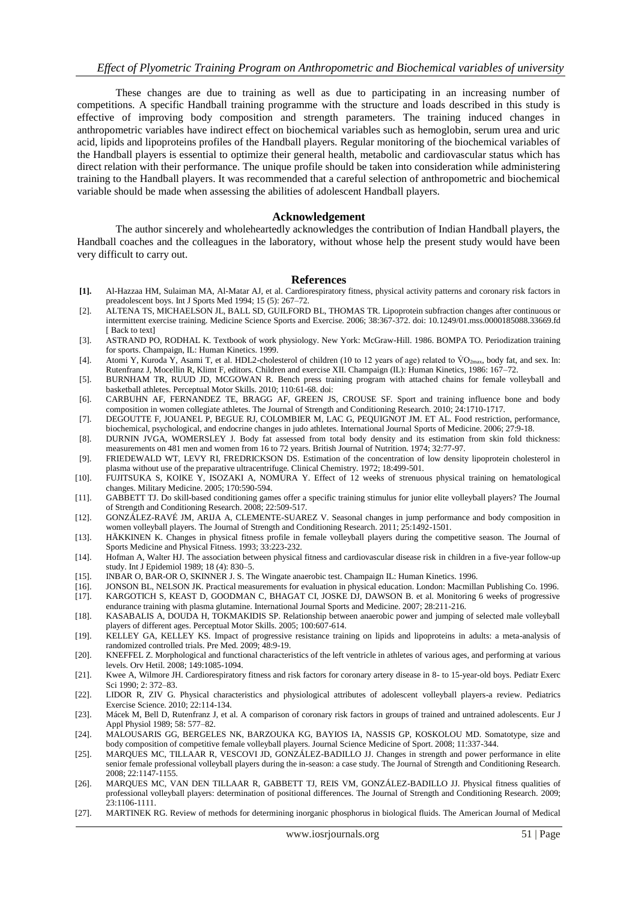These changes are due to training as well as due to participating in an increasing number of competitions. A specific Handball training programme with the structure and loads described in this study is effective of improving body composition and strength parameters. The training induced changes in anthropometric variables have indirect effect on biochemical variables such as hemoglobin, serum urea and uric acid, lipids and lipoproteins profiles of the Handball players. Regular monitoring of the biochemical variables of the Handball players is essential to optimize their general health, metabolic and cardiovascular status which has direct relation with their performance. The unique profile should be taken into consideration while administering training to the Handball players. It was recommended that a careful selection of anthropometric and biochemical variable should be made when assessing the abilities of adolescent Handball players.

#### **Acknowledgement**

<span id="page-5-0"></span>The author sincerely and wholeheartedly acknowledges the contribution of Indian Handball players, the Handball coaches and the colleagues in the laboratory, without whose help the present study would have been very difficult to carry out.

#### **References**

- **[1].** Al-Hazzaa HM, Sulaiman MA, Al-Matar AJ, et al. Cardiorespiratory fitness, physical activity patterns and coronary risk factors in preadolescent boys. Int J Sports Med 1994; 15 (5): 267–72.
- [2]. ALTENA TS, MICHAELSON JL, BALL SD, GUILFORD BL, THOMAS TR. Lipoprotein subfraction changes after continuous or intermittent exercise training. Medicine Science Sports and Exercise. 2006; 38:367-372. doi: [10.1249/01.mss.0000185088.33669.fd](http://dx.doi.org/10.1249/01.mss.0000185088.33669.fd) [ Back to text]
- [3]. ASTRAND PO, RODHAL K. Textbook of work physiology. New York: McGraw-Hill. 1986. BOMPA TO. Periodization training for sports. Champaign, IL: Human Kinetics. 1999.
- [4]. Atomi Y, Kuroda Y, Asami T, et al. HDL2-cholesterol of children (10 to 12 years of age) related to  $VO_{2max}$ , body fat, and sex. In: Rutenfranz J, Mocellin R, Klimt F, editors. Children and exercise XII. Champaign (IL): Human Kinetics, 1986: 167–72.
- [5]. BURNHAM TR, RUUD JD, MCGOWAN R. Bench press training program with attached chains for female volleyball and basketball athletes. Perceptual Motor Skills. 2010; 110:61-68. doi:
- [6]. CARBUHN AF, FERNANDEZ TE, BRAGG AF, GREEN JS, CROUSE SF. Sport and training influence bone and body composition in women collegiate athletes. The Journal of Strength and Conditioning Research. 2010; 24:1710-1717.
- [7]. DEGOUTTE F, JOUANEL P, BEGUE RJ, COLOMBIER M, LAC G, PEQUIGNOT JM. ET AL. Food restriction, performance, biochemical, psychological, and endocrine changes in judo athletes. International Journal Sports of Medicine. 2006; 27:9-18.
- [8]. DURNIN JVGA, WOMERSLEY J. Body fat assessed from total body density and its estimation from skin fold thickness: measurements on 481 men and women from 16 to 72 years. British Journal of Nutrition. 1974; 32:77-97.
- [9]. FRIEDEWALD WT, LEVY RI, FREDRICKSON DS. Estimation of the concentration of low density lipoprotein cholesterol in plasma without use of the preparative ultracentrifuge. Clinical Chemistry. 1972; 18:499-501.
- [10]. FUJITSUKA S, KOIKE Y, ISOZAKI A, NOMURA Y. Effect of 12 weeks of strenuous physical training on hematological changes. Military Medicine. 2005; 170:590-594.
- [11]. GABBETT TJ. Do skill-based conditioning games offer a specific training stimulus for junior elite volleyball players? The Journal of Strength and Conditioning Research. 2008; 22:509-517.
- [12]. GONZÁLEZ-RAVÉ JM, ARIJA A, CLEMENTE-SUAREZ V. Seasonal changes in jump performance and body composition in women volleyball players. The Journal of Strength and Conditioning Research. 2011; 25:1492-1501.
- [13]. HÄKKINEN K. Changes in physical fitness profile in female volleyball players during the competitive season. The Journal of Sports Medicine and Physical Fitness. 1993; 33:223-232.
- [14]. Hofman A, Walter HJ. The association between physical fitness and cardiovascular disease risk in children in a five-year follow-up study. Int J Epidemiol 1989; 18 (4): 830–5.
- [15]. INBAR O, BAR-OR O, SKINNER J. S. The Wingate anaerobic test. Champaign IL: Human Kinetics. 1996.
- [16]. JONSON BL, NELSON JK. Practical measurements for evaluation in physical education. London: Macmillan Publishing Co. 1996.
- [17]. KARGOTICH S, KEAST D, GOODMAN C, BHAGAT CI, JOSKE DJ, DAWSON B. et al. Monitoring 6 weeks of progressive endurance training with plasma glutamine. International Journal Sports and Medicine. 2007; 28:211-216.
- [18]. KASABALIS A, DOUDA H, TOKMAKIDIS SP. Relationship between anaerobic power and jumping of selected male volleyball players of different ages. Perceptual Motor Skills. 2005; 100:607-614.
- [19]. KELLEY GA, KELLEY KS. Impact of progressive resistance training on lipids and lipoproteins in adults: a meta-analysis of randomized controlled trials. Pre Med. 2009; 48:9-19.
- [20]. KNEFFEL Z. Morphological and functional characteristics of the left ventricle in athletes of various ages, and performing at various levels. Orv Hetil. 2008; 149:1085-1094.
- [21]. Kwee A, Wilmore JH. Cardiorespiratory fitness and risk factors for coronary artery disease in 8- to 15-year-old boys. Pediatr Exerc Sci 1990; 2: 372–83.
- [22]. LIDOR R, ZIV G. Physical characteristics and physiological attributes of adolescent volleyball players-a review. Pediatrics Exercise Science. 2010; 22:114-134.
- [23]. Mácek M, Bell D, Rutenfranz J, et al. A comparison of coronary risk factors in groups of trained and untrained adolescents. Eur J Appl Physiol 1989; 58: 577–82.
- [24]. MALOUSARIS GG, BERGELES NK, BARZOUKA KG, BAYIOS IA, NASSIS GP, KOSKOLOU MD. Somatotype, size and body composition of competitive female volleyball players. Journal Science Medicine of Sport. 2008; 11:337-344.
- [25]. MARQUES MC, TILLAAR R, VESCOVI JD, GONZÁLEZ-BADILLO JJ. Changes in strength and power performance in elite senior female professional volleyball players during the in-season: a case study. The Journal of Strength and Conditioning Research. 2008; 22:1147-1155.
- [26]. MARQUES MC, VAN DEN TILLAAR R, GABBETT TJ, REIS VM, GONZÁLEZ-BADILLO JJ. Physical fitness qualities of professional volleyball players: determination of positional differences. The Journal of Strength and Conditioning Research. 2009; 23:1106-1111.
- [27]. MARTINEK RG. Review of methods for determining inorganic phosphorus in biological fluids. The American Journal of Medical